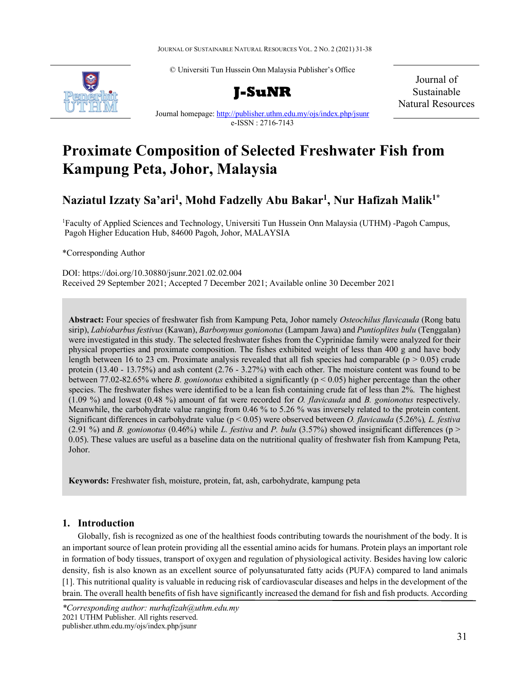JOURNAL OF SUSTAINABLE NATURAL RESOURCES VOL. 2 NO. 2 (2021) 31-38

© Universiti Tun Hussein Onn Malaysia Publisher's Office





Journal of Sustainable Natural Resources

Journal homepage[: http://publisher.uthm.edu.my/ojs/index.php/jsunr](http://publisher.uthm.edu.my/ojs/index.php/jsunr) e-ISSN : 2716-7143

# **Proximate Composition of Selected Freshwater Fish from Kampung Peta, Johor, Malaysia**

# **Naziatul Izzaty Sa'ari1 , Mohd Fadzelly Abu Bakar1 , Nur Hafizah Malik1\***

<sup>1</sup>Faculty of Applied Sciences and Technology, Universiti Tun Hussein Onn Malaysia (UTHM) -Pagoh Campus, Pagoh Higher Education Hub, 84600 Pagoh, Johor, MALAYSIA

\*Corresponding Author

DOI: https://doi.org/10.30880/jsunr.2021.02.02.004 Received 29 September 2021; Accepted 7 December 2021; Available online 30 December 2021

**Abstract:** Four species of freshwater fish from Kampung Peta, Johor namely *Osteochilus flavicauda* (Rong batu sirip), *Labiobarbus festivus* (Kawan), *Barbonymus gonionotus* (Lampam Jawa) and *Puntioplites bulu* (Tenggalan) were investigated in this study. The selected freshwater fishes from the Cyprinidae family were analyzed for their physical properties and proximate composition. The fishes exhibited weight of less than 400 g and have body length between 16 to 23 cm. Proximate analysis revealed that all fish species had comparable ( $p > 0.05$ ) crude protein (13.40 - 13.75%) and ash content (2.76 - 3.27%) with each other. The moisture content was found to be between 77.02-82.65% where *B. gonionotus* exhibited a significantly (p < 0.05) higher percentage than the other species. The freshwater fishes were identified to be a lean fish containing crude fat of less than 2%. The highest (1.09 %) and lowest (0.48 %) amount of fat were recorded for *O. flavicauda* and *B. gonionotus* respectively. Meanwhile, the carbohydrate value ranging from 0.46 % to 5.26 % was inversely related to the protein content. Significant differences in carbohydrate value (p < 0.05) were observed between *O. flavicauda* (5.26%)*, L. festiva*   $(2.91\%)$  and *B. gonionotus*  $(0.46\%)$  while *L. festiva* and *P. bulu*  $(3.57\%)$  showed insignificant differences (p > 0.05). These values are useful as a baseline data on the nutritional quality of freshwater fish from Kampung Peta, Johor.

**Keywords:** Freshwater fish, moisture, protein, fat, ash, carbohydrate, kampung peta

# **1. Introduction**

Globally, fish is recognized as one of the healthiest foods contributing towards the nourishment of the body. It is an important source of lean protein providing all the essential amino acids for humans. Protein plays an important role in formation of body tissues, transport of oxygen and regulation of physiological activity. Besides having low caloric density, fish is also known as an excellent source of polyunsaturated fatty acids (PUFA) compared to land animals [1]. This nutritional quality is valuable in reducing risk of cardiovascular diseases and helps in the development of the brain. The overall health benefits of fish have significantly increased the demand for fish and fish products. According

*<sup>\*</sup>Corresponding author: nurhafizah@uthm.edu.my* 2021 UTHM Publisher. All rights reserved. publisher.uthm.edu.my/ojs/index.php/jsunr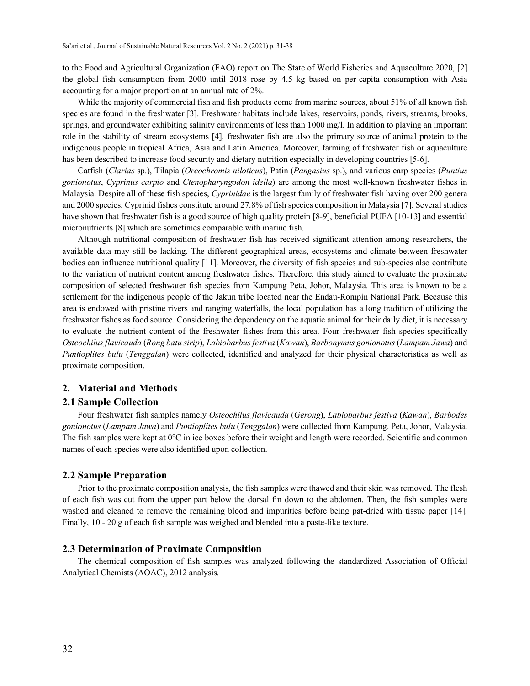to the Food and Agricultural Organization (FAO) report on The State of World Fisheries and Aquaculture 2020, [2] the global fish consumption from 2000 until 2018 rose by 4.5 kg based on per-capita consumption with Asia accounting for a major proportion at an annual rate of 2%.

While the majority of commercial fish and fish products come from marine sources, about 51% of all known fish species are found in the freshwater [3]. Freshwater habitats include lakes, reservoirs, ponds, rivers, streams, brooks, springs, and groundwater exhibiting salinity environments of less than 1000 mg/l. In addition to playing an important role in the stability of stream ecosystems [4], freshwater fish are also the primary source of animal protein to the indigenous people in tropical Africa, Asia and Latin America. Moreover, farming of freshwater fish or aquaculture has been described to increase food security and dietary nutrition especially in developing countries [5-6].

Catfish (*Clarias* sp.), Tilapia (*Oreochromis niloticus*), Patin (*Pangasius* sp.), and various carp species (*Puntius gonionotus*, *Cyprinus carpio* and *Ctenopharyngodon idella*) are among the most well-known freshwater fishes in Malaysia. Despite all of these fish species, *Cyprinidae* is the largest family of freshwater fish having over 200 genera and 2000 species. Cyprinid fishes constitute around 27.8% of fish species composition in Malaysia [7]. Several studies have shown that freshwater fish is a good source of high quality protein [8-9], beneficial PUFA [10-13] and essential micronutrients [8] which are sometimes comparable with marine fish.

Although nutritional composition of freshwater fish has received significant attention among researchers, the available data may still be lacking. The different geographical areas, ecosystems and climate between freshwater bodies can influence nutritional quality [11]. Moreover, the diversity of fish species and sub-species also contribute to the variation of nutrient content among freshwater fishes. Therefore, this study aimed to evaluate the proximate composition of selected freshwater fish species from Kampung Peta, Johor, Malaysia. This area is known to be a settlement for the indigenous people of the Jakun tribe located near the Endau-Rompin National Park. Because this area is endowed with pristine rivers and ranging waterfalls, the local population has a long tradition of utilizing the freshwater fishes as food source. Considering the dependency on the aquatic animal for their daily diet, it is necessary to evaluate the nutrient content of the freshwater fishes from this area. Four freshwater fish species specifically *Osteochilus flavicauda* (*Rong batu sirip*), *Labiobarbus festiva* (*Kawan*), *Barbonymus gonionotus* (*Lampam Jawa*) and *Puntioplites bulu* (*Tenggalan*) were collected, identified and analyzed for their physical characteristics as well as proximate composition.

#### **2. Material and Methods**

#### **2.1 Sample Collection**

Four freshwater fish samples namely *Osteochilus flavicauda* (*Gerong*), *Labiobarbus festiva* (*Kawan*), *Barbodes gonionotus* (*Lampam Jawa*) and *Puntioplites bulu* (*Tenggalan*) were collected from Kampung. Peta, Johor, Malaysia. The fish samples were kept at  $0^{\circ}$ C in ice boxes before their weight and length were recorded. Scientific and common names of each species were also identified upon collection.

#### **2.2 Sample Preparation**

Prior to the proximate composition analysis, the fish samples were thawed and their skin was removed. The flesh of each fish was cut from the upper part below the dorsal fin down to the abdomen. Then, the fish samples were washed and cleaned to remove the remaining blood and impurities before being pat-dried with tissue paper [14]. Finally, 10 - 20 g of each fish sample was weighed and blended into a paste-like texture.

#### **2.3 Determination of Proximate Composition**

The chemical composition of fish samples was analyzed following the standardized Association of Official Analytical Chemists (AOAC), 2012 analysis.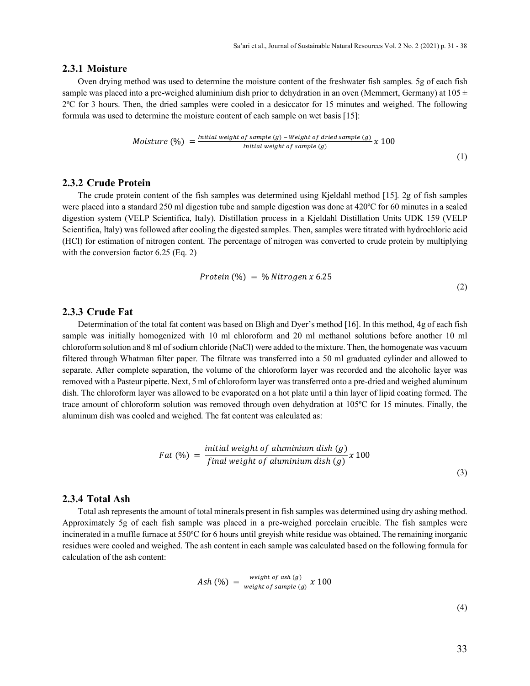#### **2.3.1 Moisture**

Oven drying method was used to determine the moisture content of the freshwater fish samples. 5g of each fish sample was placed into a pre-weighed aluminium dish prior to dehydration in an oven (Memmert, Germany) at  $105 \pm$ 2ºC for 3 hours. Then, the dried samples were cooled in a desiccator for 15 minutes and weighed. The following formula was used to determine the moisture content of each sample on wet basis [15]:

*Moisture* (%) = 
$$
\frac{Initial weight of sample (g) - Weight of dried sample (g)}{Initial weight of sample (g)} \times 100
$$
 (1)

#### **2.3.2 Crude Protein**

The crude protein content of the fish samples was determined using Kjeldahl method [15]. 2g of fish samples were placed into a standard 250 ml digestion tube and sample digestion was done at 420ºC for 60 minutes in a sealed digestion system (VELP Scientifica, Italy). Distillation process in a Kjeldahl Distillation Units UDK 159 (VELP Scientifica, Italy) was followed after cooling the digested samples. Then, samples were titrated with hydrochloric acid (HCl) for estimation of nitrogen content. The percentage of nitrogen was converted to crude protein by multiplying with the conversion factor 6.25 (Eq. 2)

$$
Protein (%) = % Nitrogen x 6.25
$$

## **2.3.3 Crude Fat**

Determination of the total fat content was based on Bligh and Dyer's method [16]. In this method, 4g of each fish sample was initially homogenized with 10 ml chloroform and 20 ml methanol solutions before another 10 ml chloroform solution and 8 ml of sodium chloride (NaCl) were added to the mixture. Then, the homogenate was vacuum filtered through Whatman filter paper. The filtrate was transferred into a 50 ml graduated cylinder and allowed to separate. After complete separation, the volume of the chloroform layer was recorded and the alcoholic layer was removed with a Pasteur pipette. Next, 5 ml of chloroform layer was transferred onto a pre-dried and weighed aluminum dish. The chloroform layer was allowed to be evaporated on a hot plate until a thin layer of lipid coating formed. The trace amount of chloroform solution was removed through oven dehydration at 105ºC for 15 minutes. Finally, the aluminum dish was cooled and weighed. The fat content was calculated as:

$$
Fact (%) = \frac{initial weight of aluminum dish (g)}{final weight of aluminum dish (g)} x 100
$$
\n(3)

#### **2.3.4 Total Ash**

Total ash represents the amount of total minerals present in fish samples was determined using dry ashing method. Approximately 5g of each fish sample was placed in a pre-weighed porcelain crucible. The fish samples were incinerated in a muffle furnace at 550ºC for 6 hours until greyish white residue was obtained. The remaining inorganic residues were cooled and weighed. The ash content in each sample was calculated based on the following formula for calculation of the ash content:

$$
Ash (%) = \frac{weight of ash (g)}{weight of sample (g)} x 100
$$

(4)

(2)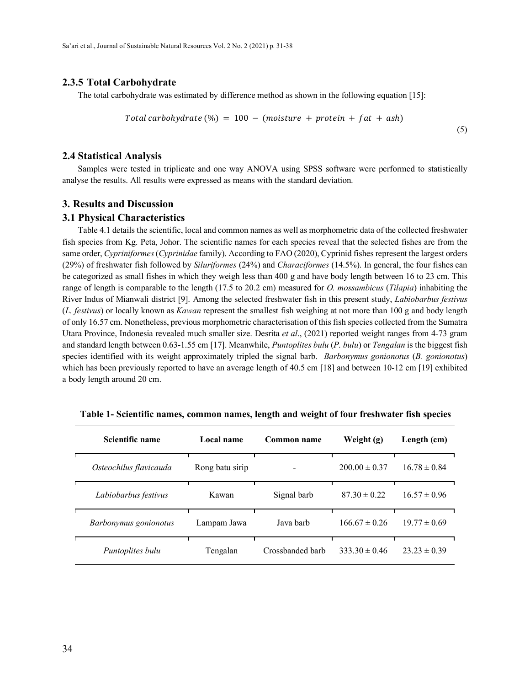#### **2.3.5 Total Carbohydrate**

The total carbohydrate was estimated by difference method as shown in the following equation [15]:

Total carbohydrate (%) = 
$$
100 - (moisture + protein + fat + ash)
$$
 (5)

#### **2.4 Statistical Analysis**

Samples were tested in triplicate and one way ANOVA using SPSS software were performed to statistically analyse the results. All results were expressed as means with the standard deviation.

#### **3. Results and Discussion**

#### **3.1 Physical Characteristics**

Table 4.1 details the scientific, local and common names as well as morphometric data of the collected freshwater fish species from Kg. Peta, Johor. The scientific names for each species reveal that the selected fishes are from the same order, *Cypriniformes* (*Cyprinidae* family). According to FAO (2020), Cyprinid fishes represent the largest orders (29%) of freshwater fish followed by *Siluriformes* (24%) and *Characiformes* (14.5%). In general, the four fishes can be categorized as small fishes in which they weigh less than 400 g and have body length between 16 to 23 cm. This range of length is comparable to the length (17.5 to 20.2 cm) measured for *O. mossambicus* (*Tilapia*) inhabiting the River Indus of Mianwali district [9]. Among the selected freshwater fish in this present study, *Labiobarbus festivus*  (*L. festivus*) or locally known as *Kawan* represent the smallest fish weighing at not more than 100 g and body length of only 16.57 cm. Nonetheless, previous morphometric characterisation of this fish species collected from the Sumatra Utara Province, Indonesia revealed much smaller size. Desrita *et al*., (2021) reported weight ranges from 4-73 gram and standard length between 0.63-1.55 cm [17]. Meanwhile, *Puntoplites bulu* (*P. bulu*) or *Tengalan* is the biggest fish species identified with its weight approximately tripled the signal barb. *Barbonymus gonionotus* (*B. gonionotus*) which has been previously reported to have an average length of 40.5 cm [18] and between 10-12 cm [19] exhibited a body length around 20 cm.

| Scientific name        | Local name      | Common name      | Weight (g)        | Length (cm)      |
|------------------------|-----------------|------------------|-------------------|------------------|
| Osteochilus flavicauda | Rong batu sirip |                  | $200.00 \pm 0.37$ | $16.78 \pm 0.84$ |
| Labiobarbus festivus   | Kawan           | Signal barb      | $87.30 \pm 0.22$  | $16.57 \pm 0.96$ |
| Barbonymus gonionotus  | Lampam Jawa     | Java barb        | $166.67 \pm 0.26$ | $19.77 \pm 0.69$ |
| Puntoplites bulu       | Tengalan        | Crossbanded barb | $333.30 \pm 0.46$ | $23.23 \pm 0.39$ |

**Table 1- Scientific names, common names, length and weight of four freshwater fish species**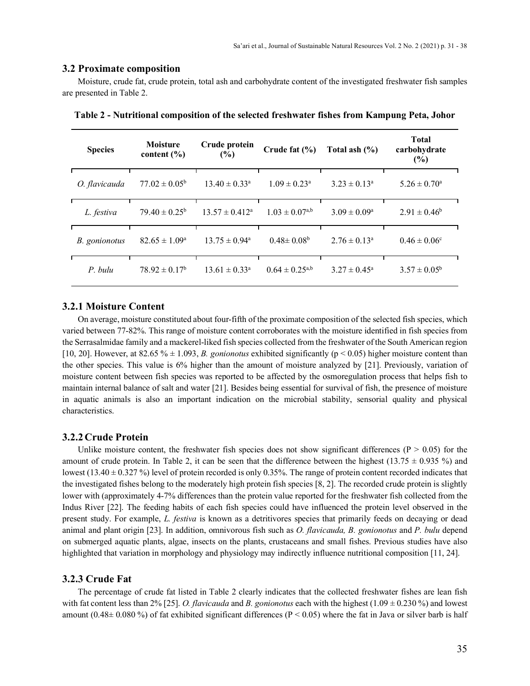#### **3.2 Proximate composition**

Moisture, crude fat, crude protein, total ash and carbohydrate content of the investigated freshwater fish samples are presented in Table 2.

| <b>Species</b>       | <b>Moisture</b><br>content $(\% )$ | Crude protein<br>(%)        | Crude fat $(\% )$          | Total ash $(\%)$        | <b>Total</b><br>carbohydrate<br>(%) |
|----------------------|------------------------------------|-----------------------------|----------------------------|-------------------------|-------------------------------------|
| O. flavicauda        | $77.02 \pm 0.05^{\circ}$           | $13.40 \pm 0.33^{\text{a}}$ | $1.09 \pm 0.23^{\text{a}}$ | $3.23 \pm 0.13^a$       | $5.26 \pm 0.70^{\circ}$             |
| L. festiva           | $79.40 \pm 0.25^{\rm b}$           | $13.57 \pm 0.412^a$         | $1.03 \pm 0.07^{a,b}$      | $3.09 \pm 0.09^a$       | $2.91 \pm 0.46^b$                   |
| <i>B.</i> gonionotus | $82.65 \pm 1.09^{\circ}$           | $13.75 \pm 0.94^{\circ}$    | $0.48 \pm 0.08^b$          | $2.76 \pm 0.13^{\circ}$ | $0.46 \pm 0.06^{\circ}$             |
| P. bulu              | $78.92 \pm 0.17^b$                 | $13.61 \pm 0.33^{\circ}$    | $0.64 \pm 0.25^{a,b}$      | $3.27 \pm 0.45^{\circ}$ | $3.57 \pm 0.05^{\rm b}$             |

**Table 2 - Nutritional composition of the selected freshwater fishes from Kampung Peta, Johor**

#### **3.2.1 Moisture Content**

On average, moisture constituted about four-fifth of the proximate composition of the selected fish species, which varied between 77-82%. This range of moisture content corroborates with the moisture identified in fish species from the Serrasalmidae family and a mackerel-liked fish species collected from the freshwater of the South American region [10, 20]. However, at 82.65 % ± 1.093, *B. gonionotus* exhibited significantly (p < 0.05) higher moisture content than the other species. This value is 6% higher than the amount of moisture analyzed by [21]. Previously, variation of moisture content between fish species was reported to be affected by the osmoregulation process that helps fish to maintain internal balance of salt and water [21]. Besides being essential for survival of fish, the presence of moisture in aquatic animals is also an important indication on the microbial stability, sensorial quality and physical characteristics.

#### **3.2.2Crude Protein**

Unlike moisture content, the freshwater fish species does not show significant differences ( $P > 0.05$ ) for the amount of crude protein. In Table 2, it can be seen that the difference between the highest (13.75  $\pm$  0.935 %) and lowest  $(13.40 \pm 0.327 \%)$  level of protein recorded is only 0.35%. The range of protein content recorded indicates that the investigated fishes belong to the moderately high protein fish species [8, 2]. The recorded crude protein is slightly lower with (approximately 4-7% differences than the protein value reported for the freshwater fish collected from the Indus River [22]. The feeding habits of each fish species could have influenced the protein level observed in the present study. For example, *L. festiva* is known as a detritivores species that primarily feeds on decaying or dead animal and plant origin [23]. In addition, omnivorous fish such as *O. flavicauda, B. gonionotus* and *P. bulu* depend on submerged aquatic plants, algae, insects on the plants, crustaceans and small fishes. Previous studies have also highlighted that variation in morphology and physiology may indirectly influence nutritional composition [11, 24].

#### **3.2.3 Crude Fat**

The percentage of crude fat listed in Table 2 clearly indicates that the collected freshwater fishes are lean fish with fat content less than 2% [25]. *O. flavicauda* and *B. gonionotus* each with the highest (1.09 ± 0.230 %) and lowest amount (0.48 $\pm$  0.080 %) of fat exhibited significant differences (P < 0.05) where the fat in Java or silver barb is half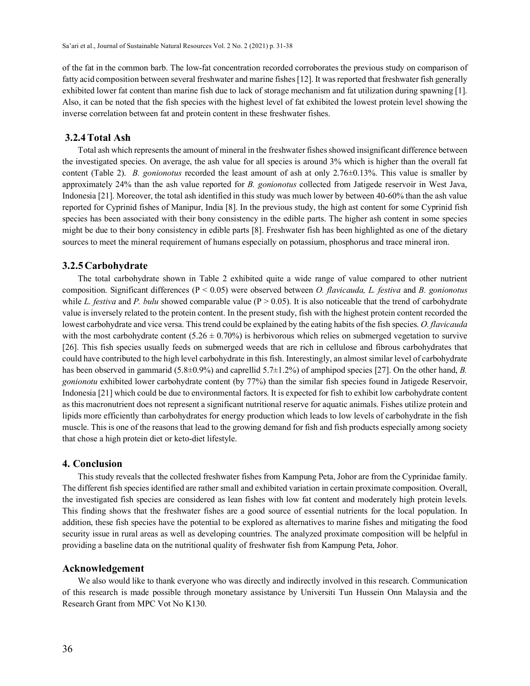of the fat in the common barb. The low-fat concentration recorded corroborates the previous study on comparison of fatty acid composition between several freshwater and marine fishes [12]. It was reported that freshwater fish generally exhibited lower fat content than marine fish due to lack of storage mechanism and fat utilization during spawning [1]. Also, it can be noted that the fish species with the highest level of fat exhibited the lowest protein level showing the inverse correlation between fat and protein content in these freshwater fishes.

# **3.2.4Total Ash**

Total ash which represents the amount of mineral in the freshwater fishes showed insignificant difference between the investigated species. On average, the ash value for all species is around 3% which is higher than the overall fat content (Table 2). *B. gonionotus* recorded the least amount of ash at only 2.76±0.13%. This value is smaller by approximately 24% than the ash value reported for *B. gonionotus* collected from Jatigede reservoir in West Java, Indonesia [21]. Moreover, the total ash identified in this study was much lower by between 40-60% than the ash value reported for Cyprinid fishes of Manipur, India [8]. In the previous study, the high ast content for some Cyprinid fish species has been associated with their bony consistency in the edible parts. The higher ash content in some species might be due to their bony consistency in edible parts [8]. Freshwater fish has been highlighted as one of the dietary sources to meet the mineral requirement of humans especially on potassium, phosphorus and trace mineral iron.

#### **3.2.5Carbohydrate**

The total carbohydrate shown in Table 2 exhibited quite a wide range of value compared to other nutrient composition. Significant differences (P < 0.05) were observed between *O. flavicauda, L. festiva* and *B. gonionotus*  while *L. festiva* and *P. bulu* showed comparable value ( $P > 0.05$ ). It is also noticeable that the trend of carbohydrate value is inversely related to the protein content. In the present study, fish with the highest protein content recorded the lowest carbohydrate and vice versa. This trend could be explained by the eating habits of the fish species. *O. flavicauda*  with the most carbohydrate content  $(5.26 \pm 0.70\%)$  is herbivorous which relies on submerged vegetation to survive [26]. This fish species usually feeds on submerged weeds that are rich in cellulose and fibrous carbohydrates that could have contributed to the high level carbohydrate in this fish. Interestingly, an almost similar level of carbohydrate has been observed in gammarid (5.8±0.9%) and caprellid 5.7±1.2%) of amphipod species [27]. On the other hand, *B. gonionotu* exhibited lower carbohydrate content (by 77%) than the similar fish species found in Jatigede Reservoir, Indonesia [21] which could be due to environmental factors. It is expected for fish to exhibit low carbohydrate content as this macronutrient does not represent a significant nutritional reserve for aquatic animals. Fishes utilize protein and lipids more efficiently than carbohydrates for energy production which leads to low levels of carbohydrate in the fish muscle. This is one of the reasons that lead to the growing demand for fish and fish products especially among society that chose a high protein diet or keto-diet lifestyle.

#### **4. Conclusion**

This study reveals that the collected freshwater fishes from Kampung Peta, Johor are from the Cyprinidae family. The different fish species identified are rather small and exhibited variation in certain proximate composition. Overall, the investigated fish species are considered as lean fishes with low fat content and moderately high protein levels. This finding shows that the freshwater fishes are a good source of essential nutrients for the local population. In addition, these fish species have the potential to be explored as alternatives to marine fishes and mitigating the food security issue in rural areas as well as developing countries. The analyzed proximate composition will be helpful in providing a baseline data on the nutritional quality of freshwater fish from Kampung Peta, Johor.

#### **Acknowledgement**

We also would like to thank everyone who was directly and indirectly involved in this research. Communication of this research is made possible through monetary assistance by Universiti Tun Hussein Onn Malaysia and the Research Grant from MPC Vot No K130.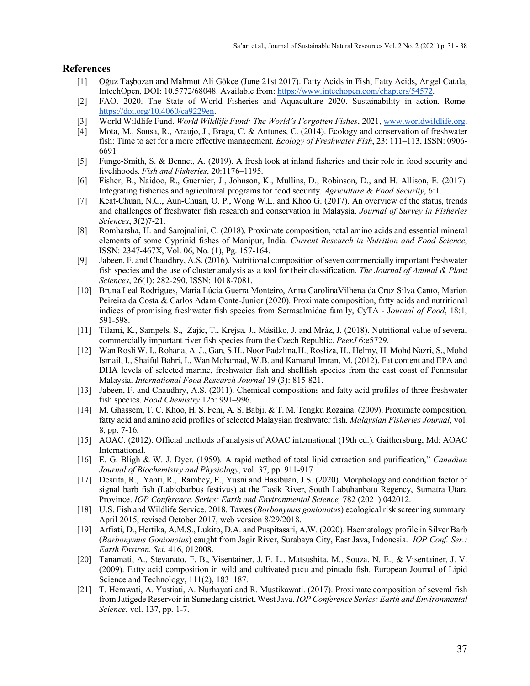## **References**

- [1] Oğuz Taşbozan and Mahmut Ali Gökçe (June 21st 2017). Fatty Acids in Fish, Fatty Acids, Angel Catala, IntechOpen, DOI: 10.5772/68048. Available from[: https://www.intechopen.com/chapters/54572.](https://www.intechopen.com/chapters/54572)
- [2] FAO. 2020. The State of World Fisheries and Aquaculture 2020. Sustainability in action. Rome. [https://doi.org/10.4060/ca9229en.](https://doi.org/10.4060/ca9229en)
- [3] World Wildlife Fund. *World Wildlife Fund: The World's Forgotten Fishes*, 2021, [www.worldwildlife.org.](http://www.worldwildlife.org/)
- [4] Mota, M., Sousa, R., Araujo, J., Braga, C. & Antunes, C. (2014). Ecology and conservation of freshwater fish: Time to act for a more effective management. *Ecology of Freshwater Fish*, 23: 111–113, ISSN: 0906- 6691
- [5] Funge-Smith, S. & Bennet, A. (2019). A fresh look at inland fisheries and their role in food security and livelihoods. *Fish and Fisheries*, 20:1176–1195.
- [6] Fisher, B., Naidoo, R., Guernier, J., Johnson, K., Mullins, D., Robinson, D., and H. Allison, E. (2017). Integrating fisheries and agricultural programs for food security. *Agriculture & Food Security*, 6:1.
- [7] Keat-Chuan, N.C., Aun-Chuan, O. P., Wong W.L. and Khoo G. (2017). An overview of the status, trends and challenges of freshwater fish research and conservation in Malaysia. *Journal of Survey in Fisheries Sciences*, 3(2)7-21.
- [8] Romharsha, H. and Sarojnalini, C. (2018). Proximate composition, total amino acids and essential mineral elements of some Cyprinid fishes of Manipur, India. *Current Research in Nutrition and Food Science*, ISSN: 2347-467X, Vol. 06, No. (1), Pg. 157-164.
- [9] Jabeen, F. and Chaudhry, A.S. (2016). Nutritional composition of seven commercially important freshwater fish species and the use of cluster analysis as a tool for their classification. *The Journal of Animal & Plant Sciences*, 26(1): 282-290, ISSN: 1018-7081.
- [10] Bruna Leal Rodrigues, Maria Lúcia Guerra Monteiro, Anna CarolinaVilhena da Cruz Silva Canto, Marion Peireira da Costa & Carlos Adam Conte-Junior (2020). Proximate composition, fatty acids and nutritional indices of promising freshwater fish species from Serrasalmidae family, CyTA - J*ournal of Food*, 18:1, 591-598.
- [11] Tilami, K., Sampels, S., Zajíc, T., Krejsa, J., Másílko, J. and Mráz, J. (2018). Nutritional value of several commercially important river fish species from the Czech Republic. *PeerJ* 6:e5729.
- [12] Wan Rosli W. I., Rohana, A. J., Gan, S.H., Noor Fadzlina,H., Rosliza, H., Helmy, H. Mohd Nazri, S., Mohd Ismail, I., Shaiful Bahri, I., Wan Mohamad, W.B. and Kamarul Imran, M. (2012). Fat content and EPA and DHA levels of selected marine, freshwater fish and shellfish species from the east coast of Peninsular Malaysia. *International Food Research Journal* 19 (3): 815-821.
- [13] Jabeen, F. and Chaudhry, A.S. (2011). Chemical compositions and fatty acid profiles of three freshwater fish species. *Food Chemistry* 125: 991–996.
- [14] M. Ghassem, T. C. Khoo, H. S. Feni, A. S. Babji. & T. M. Tengku Rozaina. (2009). Proximate composition, fatty acid and amino acid profiles of selected Malaysian freshwater fish. *Malaysian Fisheries Journal*, vol. 8, pp. 7-16.
- [15] AOAC. (2012). Official methods of analysis of AOAC international (19th ed.). Gaithersburg, Md: AOAC International.
- [16] E. G. Bligh & W. J. Dyer. (1959). A rapid method of total lipid extraction and purification," *Canadian Journal of Biochemistry and Physiology*, vol. 37, pp. 911-917.
- [17] Desrita, R., Yanti, R., Rambey, E., Yusni and Hasibuan, J.S. (2020). Morphology and condition factor of signal barb fish (Labiobarbus festivus) at the Tasik River, South Labuhanbatu Regency, Sumatra Utara Province. *IOP Conference. Series: Earth and Environmental Science*, 782 (2021) 042012.
- [18] U.S. Fish and Wildlife Service. 2018. Tawes (*Borbonymus gonionotu*s) ecological risk screening summary. April 2015, revised October 2017, web version 8/29/2018.
- [19] Arfiati, D., Hertika, A.M.S., Lukito, D.A. and Puspitasari, A.W. (2020). Haematology profile in Silver Barb (*Barbonymus Gonionotus*) caught from Jagir River, Surabaya City, East Java, Indonesia. *IOP Conf. Ser.: Earth Environ. Sci*. 416, 012008.
- [20] Tanamati, A., Stevanato, F. B., Visentainer, J. E. L., Matsushita, M., Souza, N. E., & Visentainer, J. V. (2009). Fatty acid composition in wild and cultivated pacu and pintado fish. European Journal of Lipid Science and Technology, 111(2), 183–187.
- [21] T. Herawati, A. Yustiati, A. Nurhayati and R. Mustikawati. (2017). Proximate composition of several fish from Jatigede Reservoir in Sumedang district, West Java. *IOP Conference Series: Earth and Environmental Science*, vol. 137, pp. 1-7.